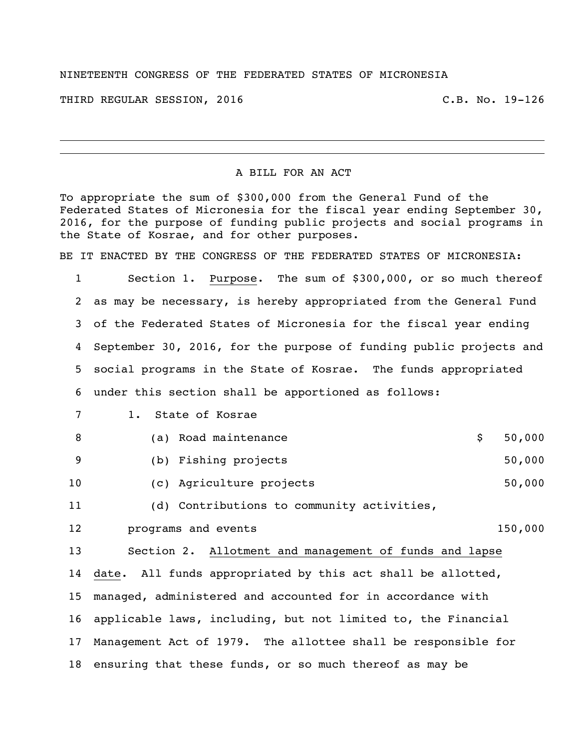## NINETEENTH CONGRESS OF THE FEDERATED STATES OF MICRONESIA

THIRD REGULAR SESSION, 2016 C.B. No. 19-126

## A BILL FOR AN ACT

To appropriate the sum of \$300,000 from the General Fund of the Federated States of Micronesia for the fiscal year ending September 30, 2016, for the purpose of funding public projects and social programs in the State of Kosrae, and for other purposes.

BE IT ENACTED BY THE CONGRESS OF THE FEDERATED STATES OF MICRONESIA:

 Section 1. Purpose. The sum of \$300,000, or so much thereof as may be necessary, is hereby appropriated from the General Fund of the Federated States of Micronesia for the fiscal year ending September 30, 2016, for the purpose of funding public projects and social programs in the State of Kosrae. The funds appropriated under this section shall be apportioned as follows:

| 7   | 1. State of Kosrae                                             |              |
|-----|----------------------------------------------------------------|--------------|
| 8   | (a) Road maintenance                                           | \$<br>50,000 |
| - 9 | (b) Fishing projects                                           | 50,000       |
| 10  | (c) Agriculture projects                                       | 50,000       |
| 11  | (d) Contributions to community activities,                     |              |
| 12  | programs and events                                            | 150,000      |
| 13  | Section 2. Allotment and management of funds and lapse         |              |
|     | 14 date. All funds appropriated by this act shall be allotted, |              |
| 15  | managed, administered and accounted for in accordance with     |              |
|     |                                                                |              |

 Management Act of 1979. The allottee shall be responsible for ensuring that these funds, or so much thereof as may be

applicable laws, including, but not limited to, the Financial